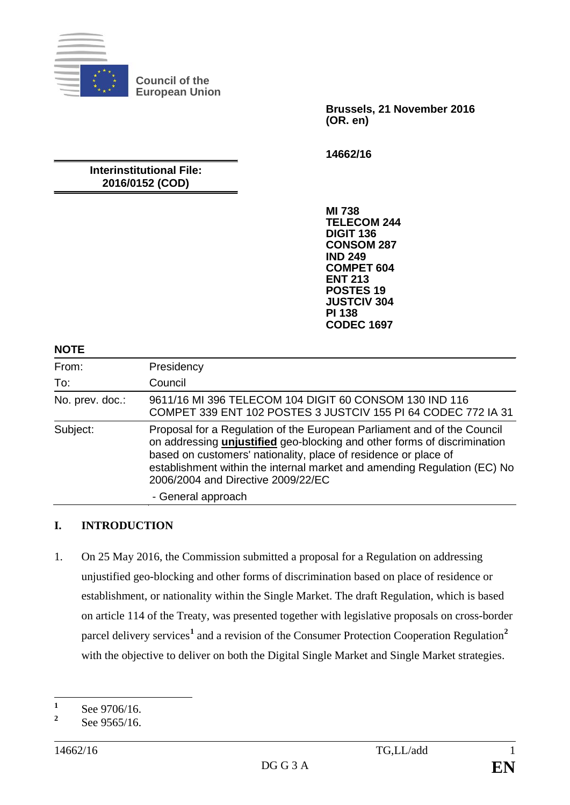

**Council of the European Union**

> **Brussels, 21 November 2016 (OR. en)**

**14662/16**

# **Interinstitutional File: 2016/0152 (COD)**

**MI 738 TELECOM 244 DIGIT 136 CONSOM 287 IND 249 COMPET 604 ENT 213 POSTES 19 JUSTCIV 304 PI 138 CODEC 1697**

#### **NOTE**

| From:           | Presidency                                                                                                                                                                                                                                                                                                                               |
|-----------------|------------------------------------------------------------------------------------------------------------------------------------------------------------------------------------------------------------------------------------------------------------------------------------------------------------------------------------------|
| To:             | Council                                                                                                                                                                                                                                                                                                                                  |
| No. prev. doc.: | 9611/16 MI 396 TELECOM 104 DIGIT 60 CONSOM 130 IND 116<br>COMPET 339 ENT 102 POSTES 3 JUSTCIV 155 PI 64 CODEC 772 IA 31                                                                                                                                                                                                                  |
| Subject:        | Proposal for a Regulation of the European Parliament and of the Council<br>on addressing unjustified geo-blocking and other forms of discrimination<br>based on customers' nationality, place of residence or place of<br>establishment within the internal market and amending Regulation (EC) No<br>2006/2004 and Directive 2009/22/EC |
|                 | - General approach                                                                                                                                                                                                                                                                                                                       |

### **I. INTRODUCTION**

1. On 25 May 2016, the Commission submitted a proposal for a Regulation on addressing unjustified geo-blocking and other forms of discrimination based on place of residence or establishment, or nationality within the Single Market. The draft Regulation, which is based on article 114 of the Treaty, was presented together with legislative proposals on cross-border parcel delivery services<sup>[1](#page-0-0)</sup> and a revision of the Consumer Protection Cooperation Regulation<sup>[2](#page-0-1)</sup> with the objective to deliver on both the Digital Single Market and Single Market strategies.

<span id="page-0-0"></span><sup>&</sup>lt;sup>1</sup> See 9706/16.

<span id="page-0-1"></span>**<sup>2</sup>** See 9565/16.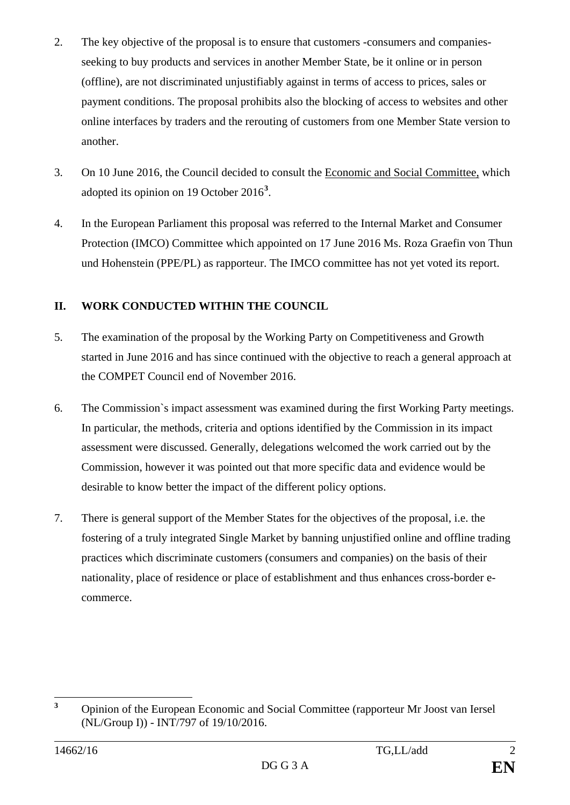- 2. The key objective of the proposal is to ensure that customers -consumers and companiesseeking to buy products and services in another Member State, be it online or in person (offline), are not discriminated unjustifiably against in terms of access to prices, sales or payment conditions. The proposal prohibits also the blocking of access to websites and other online interfaces by traders and the rerouting of customers from one Member State version to another.
- 3. On 10 June 2016, the Council decided to consult the Economic and Social Committee, which adopted its opinion on 19 October 2016**[3](#page-1-0)** .
- 4. In the European Parliament this proposal was referred to the Internal Market and Consumer Protection (IMCO) Committee which appointed on 17 June 2016 Ms. Roza Graefin von Thun und Hohenstein (PPE/PL) as rapporteur. The IMCO committee has not yet voted its report.

## **II. WORK CONDUCTED WITHIN THE COUNCIL**

- 5. The examination of the proposal by the Working Party on Competitiveness and Growth started in June 2016 and has since continued with the objective to reach a general approach at the COMPET Council end of November 2016.
- 6. The Commission`s impact assessment was examined during the first Working Party meetings. In particular, the methods, criteria and options identified by the Commission in its impact assessment were discussed. Generally, delegations welcomed the work carried out by the Commission, however it was pointed out that more specific data and evidence would be desirable to know better the impact of the different policy options.
- 7. There is general support of the Member States for the objectives of the proposal, i.e. the fostering of a truly integrated Single Market by banning unjustified online and offline trading practices which discriminate customers (consumers and companies) on the basis of their nationality, place of residence or place of establishment and thus enhances cross-border ecommerce.

<span id="page-1-0"></span>**<sup>3</sup>** Opinion of the European Economic and Social Committee (rapporteur Mr Joost van Iersel (NL/Group I)) - INT/797 of 19/10/2016.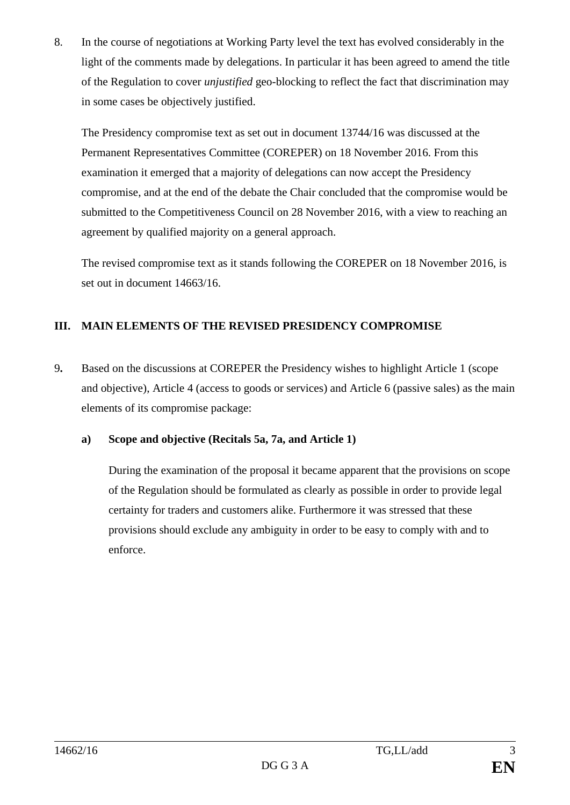8. In the course of negotiations at Working Party level the text has evolved considerably in the light of the comments made by delegations. In particular it has been agreed to amend the title of the Regulation to cover *unjustified* geo-blocking to reflect the fact that discrimination may in some cases be objectively justified.

The Presidency compromise text as set out in document 13744/16 was discussed at the Permanent Representatives Committee (COREPER) on 18 November 2016. From this examination it emerged that a majority of delegations can now accept the Presidency compromise, and at the end of the debate the Chair concluded that the compromise would be submitted to the Competitiveness Council on 28 November 2016, with a view to reaching an agreement by qualified majority on a general approach.

The revised compromise text as it stands following the COREPER on 18 November 2016, is set out in document 14663/16.

# **III. MAIN ELEMENTS OF THE REVISED PRESIDENCY COMPROMISE**

9**.** Based on the discussions at COREPER the Presidency wishes to highlight Article 1 (scope and objective), Article 4 (access to goods or services) and Article 6 (passive sales) as the main elements of its compromise package:

### **a) Scope and objective (Recitals 5a, 7a, and Article 1)**

During the examination of the proposal it became apparent that the provisions on scope of the Regulation should be formulated as clearly as possible in order to provide legal certainty for traders and customers alike. Furthermore it was stressed that these provisions should exclude any ambiguity in order to be easy to comply with and to enforce.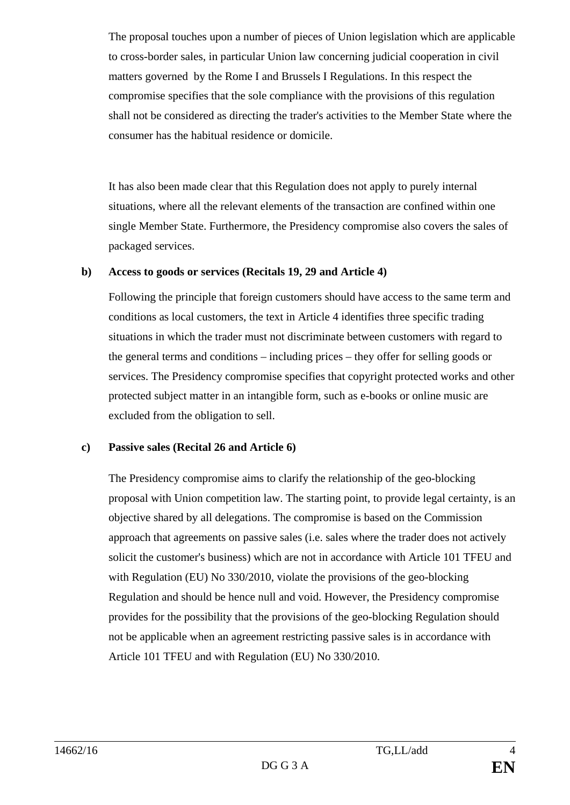The proposal touches upon a number of pieces of Union legislation which are applicable to cross-border sales, in particular Union law concerning judicial cooperation in civil matters governed by the Rome I and Brussels I Regulations. In this respect the compromise specifies that the sole compliance with the provisions of this regulation shall not be considered as directing the trader's activities to the Member State where the consumer has the habitual residence or domicile.

It has also been made clear that this Regulation does not apply to purely internal situations, where all the relevant elements of the transaction are confined within one single Member State. Furthermore, the Presidency compromise also covers the sales of packaged services.

### **b) Access to goods or services (Recitals 19, 29 and Article 4)**

Following the principle that foreign customers should have access to the same term and conditions as local customers, the text in Article 4 identifies three specific trading situations in which the trader must not discriminate between customers with regard to the general terms and conditions – including prices – they offer for selling goods or services. The Presidency compromise specifies that copyright protected works and other protected subject matter in an intangible form, such as e-books or online music are excluded from the obligation to sell.

### **c) Passive sales (Recital 26 and Article 6)**

The Presidency compromise aims to clarify the relationship of the geo-blocking proposal with Union competition law. The starting point, to provide legal certainty, is an objective shared by all delegations. The compromise is based on the Commission approach that agreements on passive sales (i.e. sales where the trader does not actively solicit the customer's business) which are not in accordance with Article 101 TFEU and with Regulation (EU) No 330/2010, violate the provisions of the geo-blocking Regulation and should be hence null and void. However, the Presidency compromise provides for the possibility that the provisions of the geo-blocking Regulation should not be applicable when an agreement restricting passive sales is in accordance with Article 101 TFEU and with Regulation (EU) No 330/2010.